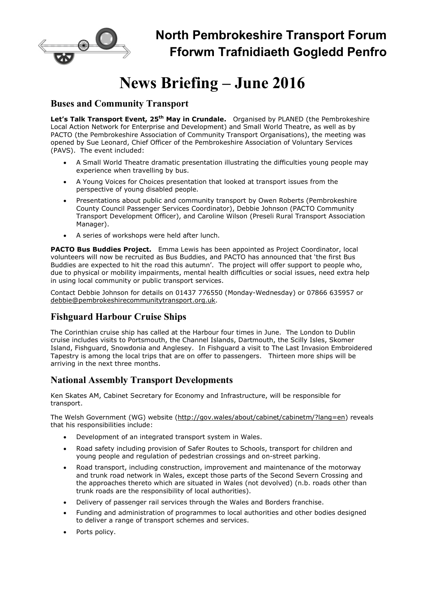

## North Pembrokeshire Transport Forum Fforwm Trafnidiaeth Gogledd Penfro

# News Briefing – June 2016

#### Buses and Community Transport

Let's Talk Transport Event, 25<sup>th</sup> May in Crundale. Organised by PLANED (the Pembrokeshire Local Action Network for Enterprise and Development) and Small World Theatre, as well as by PACTO (the Pembrokeshire Association of Community Transport Organisations), the meeting was opened by Sue Leonard, Chief Officer of the Pembrokeshire Association of Voluntary Services (PAVS). The event included:

- A Small World Theatre dramatic presentation illustrating the difficulties young people may experience when travelling by bus.
- A Young Voices for Choices presentation that looked at transport issues from the perspective of young disabled people.
- Presentations about public and community transport by Owen Roberts (Pembrokeshire County Council Passenger Services Coordinator), Debbie Johnson (PACTO Community Transport Development Officer), and Caroline Wilson (Preseli Rural Transport Association Manager).
- A series of workshops were held after lunch.

PACTO Bus Buddies Project. Emma Lewis has been appointed as Project Coordinator, local volunteers will now be recruited as Bus Buddies, and PACTO has announced that 'the first Bus Buddies are expected to hit the road this autumn'. The project will offer support to people who, due to physical or mobility impairments, mental health difficulties or social issues, need extra help in using local community or public transport services.

Contact Debbie Johnson for details on 01437 776550 (Monday-Wednesday) or 07866 635957 or debbie@pembrokeshirecommunitytransport.org.uk.

### Fishguard Harbour Cruise Ships

The Corinthian cruise ship has called at the Harbour four times in June. The London to Dublin cruise includes visits to Portsmouth, the Channel Islands, Dartmouth, the Scilly Isles, Skomer Island, Fishguard, Snowdonia and Anglesey. In Fishguard a visit to The Last Invasion Embroidered Tapestry is among the local trips that are on offer to passengers. Thirteen more ships will be arriving in the next three months.

#### National Assembly Transport Developments

Ken Skates AM, Cabinet Secretary for Economy and Infrastructure, will be responsible for transport.

The Welsh Government (WG) website (http://gov.wales/about/cabinet/cabinetm/?lang=en) reveals that his responsibilities include:

- Development of an integrated transport system in Wales.
- Road safety including provision of Safer Routes to Schools, transport for children and young people and regulation of pedestrian crossings and on-street parking.
- Road transport, including construction, improvement and maintenance of the motorway and trunk road network in Wales, except those parts of the Second Severn Crossing and the approaches thereto which are situated in Wales (not devolved) (n.b. roads other than trunk roads are the responsibility of local authorities).
- Delivery of passenger rail services through the Wales and Borders franchise.
- Funding and administration of programmes to local authorities and other bodies designed to deliver a range of transport schemes and services.
- Ports policy.